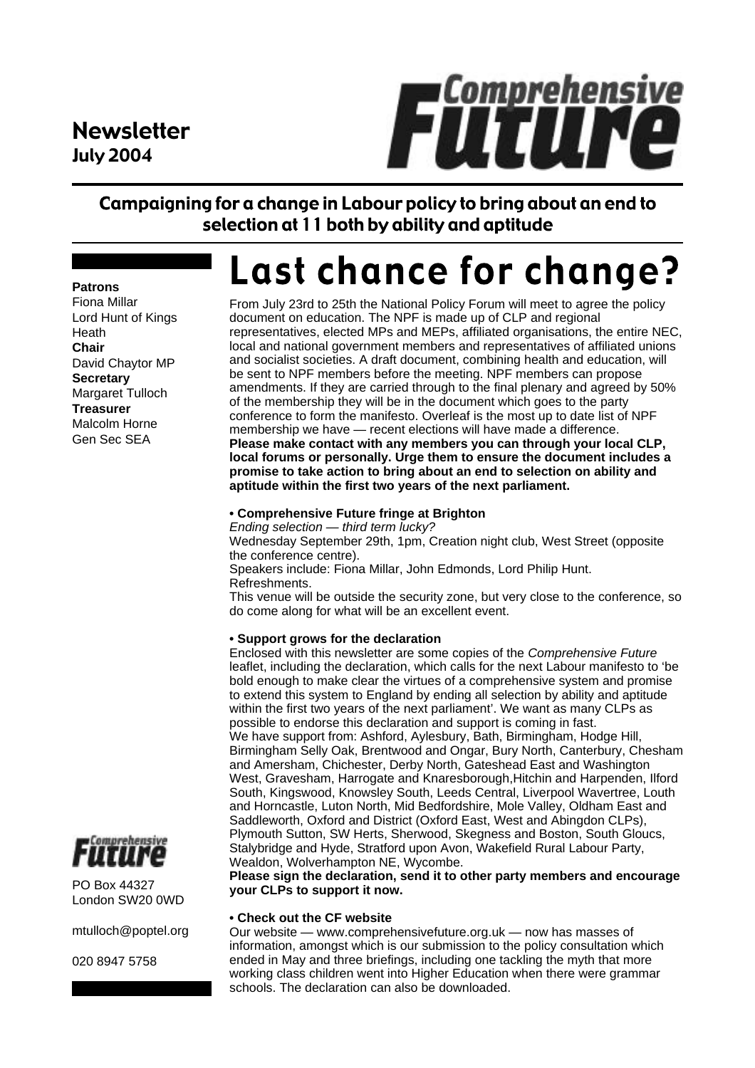## Newsletter July 2004



### Campaigning for a change in Labour policy to bring about an end to selection at 11 both by ability and aptitude

# Last chance for change?

From July 23rd to 25th the National Policy Forum will meet to agree the policy document on education. The NPF is made up of CLP and regional representatives, elected MPs and MEPs, affiliated organisations, the entire NEC, local and national government members and representatives of affiliated unions and socialist societies. A draft document, combining health and education, will be sent to NPF members before the meeting. NPF members can propose amendments. If they are carried through to the final plenary and agreed by 50% of the membership they will be in the document which goes to the party conference to form the manifesto. Overleaf is the most up to date list of NPF membership we have - recent elections will have made a difference. **Please make contact with any members you can through your local CLP, local forums or personally. Urge them to ensure the document includes a promise to take action to bring about an end to selection on ability and aptitude within the first two years of the next parliament.**

#### **• Comprehensive Future fringe at Brighton**

*Ending selection — third term lucky?* Wednesday September 29th, 1pm, Creation night club, West Street (opposite the conference centre). Speakers include: Fiona Millar, John Edmonds, Lord Philip Hunt. Refreshments. This venue will be outside the security zone, but very close to the conference, so do come along for what will be an excellent event.

#### **• Support grows for the declaration**

Enclosed with this newsletter are some copies of the *Comprehensive Future* leaflet, including the declaration, which calls for the next Labour manifesto to 'be bold enough to make clear the virtues of a comprehensive system and promise to extend this system to England by ending all selection by ability and aptitude within the first two years of the next parliament'. We want as many CLPs as possible to endorse this declaration and support is coming in fast. We have support from: Ashford, Aylesbury, Bath, Birmingham, Hodge Hill, Birmingham Selly Oak, Brentwood and Ongar, Bury North, Canterbury, Chesham and Amersham, Chichester, Derby North, Gateshead East and Washington West, Gravesham, Harrogate and Knaresborough,Hitchin and Harpenden, Ilford South, Kingswood, Knowsley South, Leeds Central, Liverpool Wavertree, Louth and Horncastle, Luton North, Mid Bedfordshire, Mole Valley, Oldham East and Saddleworth, Oxford and District (Oxford East, West and Abingdon CLPs), Plymouth Sutton, SW Herts, Sherwood, Skegness and Boston, South Gloucs, Stalybridge and Hyde, Stratford upon Avon, Wakefield Rural Labour Party, Wealdon, Wolverhampton NE, Wycombe.

**Please sign the declaration, send it to other party members and encourage your CLPs to support it now.**

#### **• Check out the CF website**

Our website — www.comprehensivefuture.org.uk — now has masses of information, amongst which is our submission to the policy consultation which ended in May and three briefings, including one tackling the myth that more working class children went into Higher Education when there were grammar schools. The declaration can also be downloaded.

# Comprehensive

PO Box 44327 London SW20 0WD

mtulloch@poptel.org

020 8947 5758

### **Patrons** Fiona Millar

Lord Hunt of Kings Heath **Chair** David Chaytor MP **Secretary** Margaret Tulloch **Treasurer** Malcolm Horne Gen Sec SEA